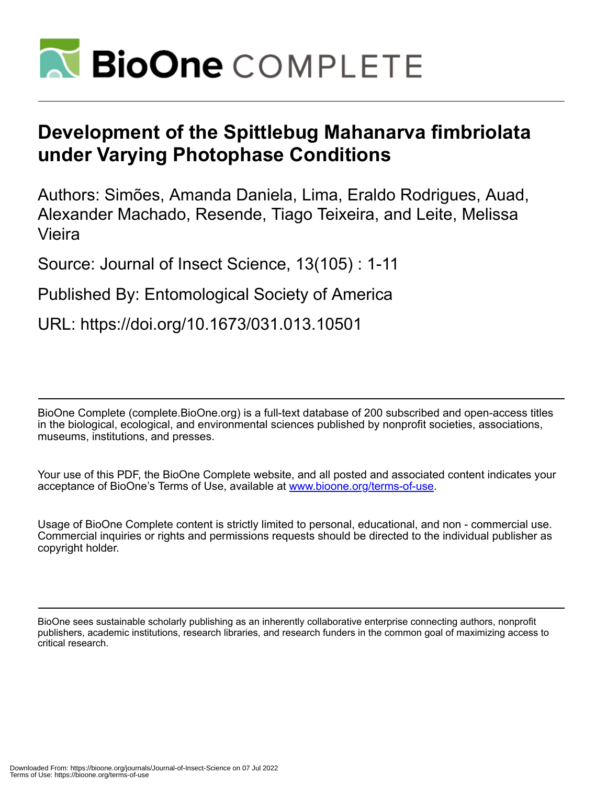

# **Development of the Spittlebug Mahanarva fimbriolata under Varying Photophase Conditions**

Authors: Simões, Amanda Daniela, Lima, Eraldo Rodrigues, Auad, Alexander Machado, Resende, Tiago Teixeira, and Leite, Melissa Vieira

Source: Journal of Insect Science, 13(105) : 1-11

# Published By: Entomological Society of America

URL: https://doi.org/10.1673/031.013.10501

BioOne Complete (complete.BioOne.org) is a full-text database of 200 subscribed and open-access titles in the biological, ecological, and environmental sciences published by nonprofit societies, associations, museums, institutions, and presses.

Your use of this PDF, the BioOne Complete website, and all posted and associated content indicates your acceptance of BioOne's Terms of Use, available at www.bioone.org/terms-of-use.

Usage of BioOne Complete content is strictly limited to personal, educational, and non - commercial use. Commercial inquiries or rights and permissions requests should be directed to the individual publisher as copyright holder.

BioOne sees sustainable scholarly publishing as an inherently collaborative enterprise connecting authors, nonprofit publishers, academic institutions, research libraries, and research funders in the common goal of maximizing access to critical research.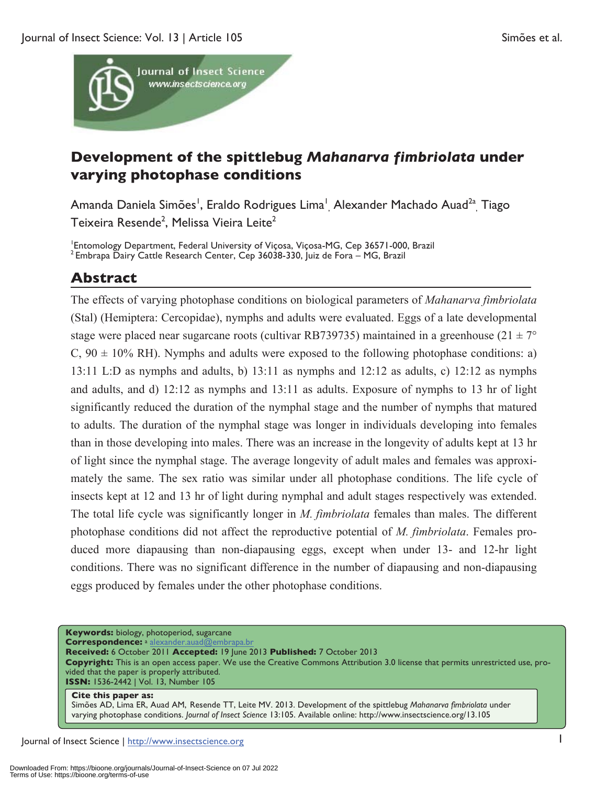

# **Development of the spittlebug** *Mahanarva fimbriolata* **under varying photophase conditions**

Amanda Daniela Simões<sup>i</sup>, Eraldo Rodrigues Lima<sup>i</sup><sub>,</sub> Alexander Machado Auad<sup>2a</sup>, Tiago Teixeira Resende<sup>2</sup>, Melissa Vieira Leite<sup>2</sup>

<sup>1</sup>Entomology Department, Federal University of Viçosa, Viçosa-MG, Cep 36571-000, Brazil  $^2$  Embrapa Dairy Cattle Research Center, Cep 36038-330, Juiz de Fora – MG, Brazil

# **Abstract**

The effects of varying photophase conditions on biological parameters of *Mahanarva fimbriolata* (Stal) (Hemiptera: Cercopidae), nymphs and adults were evaluated. Eggs of a late developmental stage were placed near sugarcane roots (cultivar RB739735) maintained in a greenhouse (21  $\pm$  7°  $C$ ,  $90 \pm 10\%$  RH). Nymphs and adults were exposed to the following photophase conditions: a) 13:11 L:D as nymphs and adults, b) 13:11 as nymphs and 12:12 as adults, c) 12:12 as nymphs and adults, and d) 12:12 as nymphs and 13:11 as adults. Exposure of nymphs to 13 hr of light significantly reduced the duration of the nymphal stage and the number of nymphs that matured to adults. The duration of the nymphal stage was longer in individuals developing into females than in those developing into males. There was an increase in the longevity of adults kept at 13 hr of light since the nymphal stage. The average longevity of adult males and females was approximately the same. The sex ratio was similar under all photophase conditions. The life cycle of insects kept at 12 and 13 hr of light during nymphal and adult stages respectively was extended. The total life cycle was significantly longer in *M. fimbriolata* females than males. The different photophase conditions did not affect the reproductive potential of *M. fimbriolata*. Females produced more diapausing than non-diapausing eggs, except when under 13- and 12-hr light conditions. There was no significant difference in the number of diapausing and non-diapausing eggs produced by females under the other photophase conditions.

**Keywords:** biology, photoperiod, sugarcane

**Correspondence:** <sup>a</sup> alexander.auad@embrapa.br **Received:** 6 October 2011 **Accepted:** 19 June 2013 **Published:** 7 October 2013

**Copyright:** This is an open access paper. We use the Creative Commons Attribution 3.0 license that permits unrestricted use, provided that the paper is properly attributed. **ISSN:** 1536-2442 | Vol. 13, Number 105

#### **Cite this paper as:**

Simões AD, Lima ER, Auad AM, Resende TT, Leite MV. 2013. Development of the spittlebug *Mahanarva fimbriolata* under varying photophase conditions. *Journal of Insect Science* 13:105. Available online: http://www.insectscience.org/13.105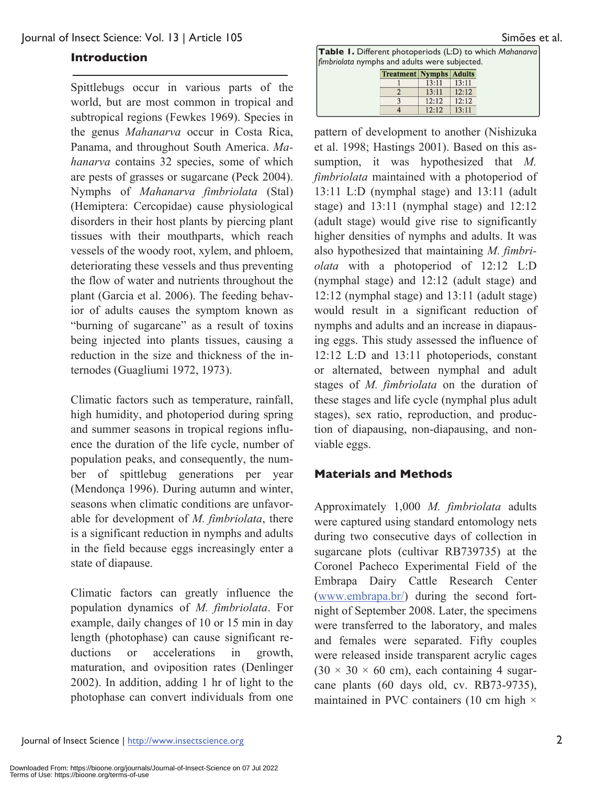Spittlebugs occur in various parts of the world, but are most common in tropical and subtropical regions (Fewkes 1969). Species in the genus *Mahanarva* occur in Costa Rica, Panama, and throughout South America. *Mahanarva* contains 32 species, some of which are pests of grasses or sugarcane (Peck 2004). Nymphs of *Mahanarva fimbriolata* (Stal) (Hemiptera: Cercopidae) cause physiological disorders in their host plants by piercing plant tissues with their mouthparts, which reach vessels of the woody root, xylem, and phloem, deteriorating these vessels and thus preventing the flow of water and nutrients throughout the plant (Garcia et al. 2006). The feeding behavior of adults causes the symptom known as "burning of sugarcane" as a result of toxins being injected into plants tissues, causing a reduction in the size and thickness of the internodes (Guagliumi 1972, 1973).

Climatic factors such as temperature, rainfall, high humidity, and photoperiod during spring and summer seasons in tropical regions influence the duration of the life cycle, number of population peaks, and consequently, the number of spittlebug generations per year (Mendonça 1996). During autumn and winter, seasons when climatic conditions are unfavorable for development of *M. fimbriolata*, there is a significant reduction in nymphs and adults in the field because eggs increasingly enter a state of diapause.

Climatic factors can greatly influence the population dynamics of *M. fimbriolata*. For example, daily changes of 10 or 15 min in day length (photophase) can cause significant reductions or accelerations in growth, maturation, and oviposition rates (Denlinger 2002). In addition, adding 1 hr of light to the photophase can convert individuals from one

**Table 1.** Different photoperiods (L:D) to which *Mahanarva*  **finduction finduction** *finduction finduction finduction finduction finduction finduction finduction finduction finduction finduction finduction finduction finduction*

| <b>Treatment Nymphs Adults</b> |       |       |
|--------------------------------|-------|-------|
|                                | 13:11 | 13:11 |
|                                | 13:11 | 12:12 |
|                                | 12:12 | 12:12 |
|                                | 12:12 | 13:11 |

pattern of development to another (Nishizuka et al. 1998; Hastings 2001). Based on this assumption, it was hypothesized that *M. fimbriolata* maintained with a photoperiod of 13:11 L:D (nymphal stage) and 13:11 (adult stage) and 13:11 (nymphal stage) and 12:12 (adult stage) would give rise to significantly higher densities of nymphs and adults. It was also hypothesized that maintaining *M. fimbriolata* with a photoperiod of 12:12 L:D (nymphal stage) and 12:12 (adult stage) and 12:12 (nymphal stage) and 13:11 (adult stage) would result in a significant reduction of nymphs and adults and an increase in diapausing eggs. This study assessed the influence of 12:12 L:D and 13:11 photoperiods, constant or alternated, between nymphal and adult stages of *M. fimbriolata* on the duration of these stages and life cycle (nymphal plus adult stages), sex ratio, reproduction, and production of diapausing, non-diapausing, and nonviable eggs.

# **Materials and Methods**

Approximately 1,000 *M. fimbriolata* adults were captured using standard entomology nets during two consecutive days of collection in sugarcane plots (cultivar RB739735) at the Coronel Pacheco Experimental Field of the Embrapa Dairy Cattle Research Center (www.embrapa.br/) during the second fortnight of September 2008. Later, the specimens were transferred to the laboratory, and males and females were separated. Fifty couples were released inside transparent acrylic cages  $(30 \times 30 \times 60$  cm), each containing 4 sugarcane plants (60 days old, cv. RB73-9735), maintained in PVC containers (10 cm high  $\times$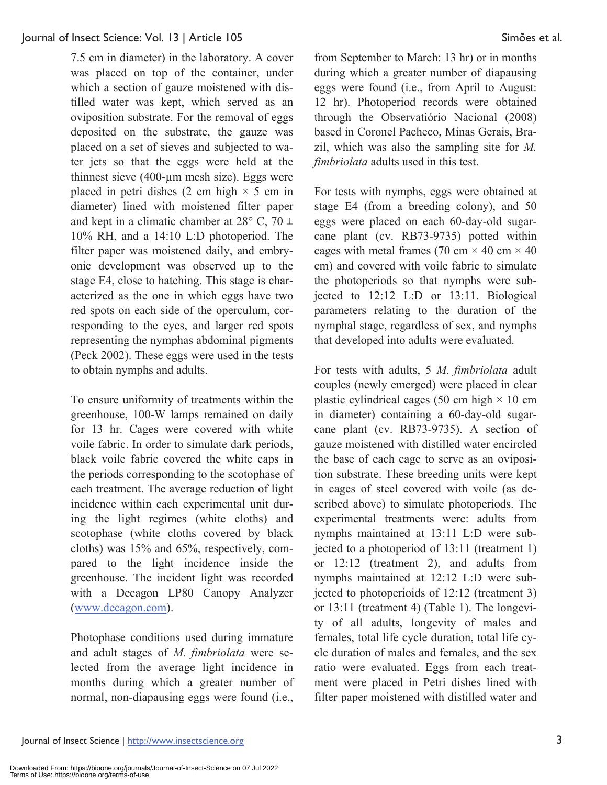7.5 cm in diameter) in the laboratory. A cover was placed on top of the container, under which a section of gauze moistened with distilled water was kept, which served as an oviposition substrate. For the removal of eggs deposited on the substrate, the gauze was placed on a set of sieves and subjected to water jets so that the eggs were held at the thinnest sieve (400-µm mesh size). Eggs were placed in petri dishes (2 cm high  $\times$  5 cm in diameter) lined with moistened filter paper and kept in a climatic chamber at  $28^{\circ}$  C,  $70 \pm$ 10% RH, and a 14:10 L:D photoperiod. The filter paper was moistened daily, and embryonic development was observed up to the stage E4, close to hatching. This stage is characterized as the one in which eggs have two red spots on each side of the operculum, corresponding to the eyes, and larger red spots representing the nymphas abdominal pigments (Peck 2002). These eggs were used in the tests to obtain nymphs and adults.

To ensure uniformity of treatments within the greenhouse, 100-W lamps remained on daily for 13 hr. Cages were covered with white voile fabric. In order to simulate dark periods, black voile fabric covered the white caps in the periods corresponding to the scotophase of each treatment. The average reduction of light incidence within each experimental unit during the light regimes (white cloths) and scotophase (white cloths covered by black cloths) was 15% and 65%, respectively, compared to the light incidence inside the greenhouse. The incident light was recorded with a Decagon LP80 Canopy Analyzer (www.decagon.com).

Photophase conditions used during immature and adult stages of *M. fimbriolata* were selected from the average light incidence in months during which a greater number of normal, non-diapausing eggs were found (i.e.,

from September to March: 13 hr) or in months during which a greater number of diapausing eggs were found (i.e., from April to August: 12 hr). Photoperiod records were obtained through the Observatiório Nacional (2008) based in Coronel Pacheco, Minas Gerais, Brazil, which was also the sampling site for *M. fimbriolata* adults used in this test.

For tests with nymphs, eggs were obtained at stage E4 (from a breeding colony), and 50 eggs were placed on each 60-day-old sugarcane plant (cv. RB73-9735) potted within cages with metal frames (70 cm  $\times$  40 cm  $\times$  40 cm) and covered with voile fabric to simulate the photoperiods so that nymphs were subjected to 12:12 L:D or 13:11. Biological parameters relating to the duration of the nymphal stage, regardless of sex, and nymphs that developed into adults were evaluated.

For tests with adults, 5 *M. fimbriolata* adult couples (newly emerged) were placed in clear plastic cylindrical cages (50 cm high  $\times$  10 cm in diameter) containing a 60-day-old sugarcane plant (cv. RB73-9735). A section of gauze moistened with distilled water encircled the base of each cage to serve as an oviposition substrate. These breeding units were kept in cages of steel covered with voile (as described above) to simulate photoperiods. The experimental treatments were: adults from nymphs maintained at 13:11 L:D were subjected to a photoperiod of 13:11 (treatment 1) or 12:12 (treatment 2), and adults from nymphs maintained at 12:12 L:D were subjected to photoperioids of 12:12 (treatment 3) or 13:11 (treatment 4) (Table 1). The longevity of all adults, longevity of males and females, total life cycle duration, total life cycle duration of males and females, and the sex ratio were evaluated. Eggs from each treatment were placed in Petri dishes lined with filter paper moistened with distilled water and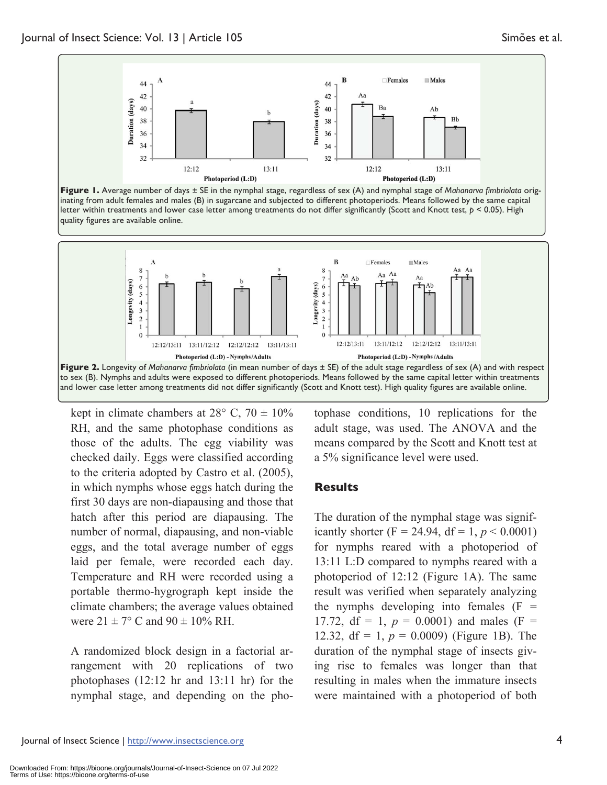





kept in climate chambers at  $28^{\circ}$  C,  $70 \pm 10\%$ RH, and the same photophase conditions as those of the adults. The egg viability was checked daily. Eggs were classified according to the criteria adopted by Castro et al. (2005), in which nymphs whose eggs hatch during the first 30 days are non-diapausing and those that hatch after this period are diapausing. The number of normal, diapausing, and non-viable eggs, and the total average number of eggs laid per female, were recorded each day. Temperature and RH were recorded using a portable thermo-hygrograph kept inside the climate chambers; the average values obtained were  $21 \pm 7^{\circ}$  C and  $90 \pm 10\%$  RH.

A randomized block design in a factorial arrangement with 20 replications of two photophases (12:12 hr and 13:11 hr) for the nymphal stage, and depending on the pho-

tophase conditions, 10 replications for the adult stage, was used. The ANOVA and the means compared by the Scott and Knott test at a 5% significance level were used.

### **Results**

The duration of the nymphal stage was significantly shorter (F = 24.94, df = 1,  $p < 0.0001$ ) for nymphs reared with a photoperiod of 13:11 L:D compared to nymphs reared with a photoperiod of 12:12 (Figure 1A). The same result was verified when separately analyzing the nymphs developing into females  $(F =$ 17.72, df = 1,  $p = 0.0001$ ) and males (F = 12.32, df = 1, *p* = 0.0009) (Figure 1B). The duration of the nymphal stage of insects giving rise to females was longer than that resulting in males when the immature insects were maintained with a photoperiod of both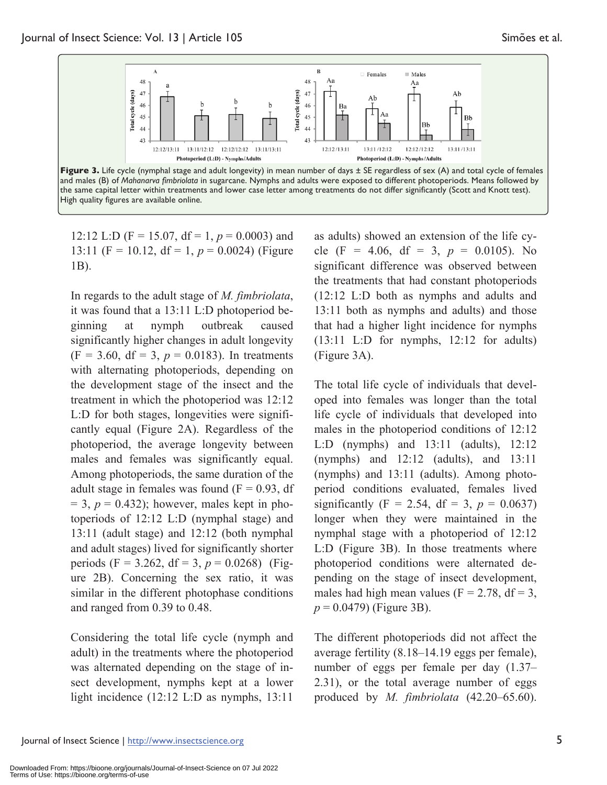

the same capital letter within treatments and lower case letter among treatments do not differ significantly (Scott and Knott test). High quality figures are available online.

12:12 L:D ( $F = 15.07$ ,  $df = 1$ ,  $p = 0.0003$ ) and 13:11 (F = 10.12, df = 1,  $p = 0.0024$ ) (Figure 1B).

In regards to the adult stage of *M. fimbriolata*, it was found that a 13:11 L:D photoperiod beginning at nymph outbreak caused significantly higher changes in adult longevity  $(F = 3.60, df = 3, p = 0.0183)$ . In treatments with alternating photoperiods, depending on the development stage of the insect and the treatment in which the photoperiod was 12:12 L:D for both stages, longevities were significantly equal (Figure 2A). Regardless of the photoperiod, the average longevity between males and females was significantly equal. Among photoperiods, the same duration of the adult stage in females was found  $(F = 0.93, df)$  $= 3$ ,  $p = 0.432$ ); however, males kept in photoperiods of 12:12 L:D (nymphal stage) and 13:11 (adult stage) and 12:12 (both nymphal and adult stages) lived for significantly shorter periods (F = 3.262, df = 3,  $p = 0.0268$ ) (Figure 2B). Concerning the sex ratio, it was similar in the different photophase conditions and ranged from 0.39 to 0.48.

Considering the total life cycle (nymph and adult) in the treatments where the photoperiod was alternated depending on the stage of insect development, nymphs kept at a lower light incidence (12:12 L:D as nymphs, 13:11

as adults) showed an extension of the life cycle (F = 4.06, df = 3,  $p = 0.0105$ ). No significant difference was observed between the treatments that had constant photoperiods (12:12 L:D both as nymphs and adults and 13:11 both as nymphs and adults) and those that had a higher light incidence for nymphs (13:11 L:D for nymphs, 12:12 for adults) (Figure 3A).

The total life cycle of individuals that developed into females was longer than the total life cycle of individuals that developed into males in the photoperiod conditions of 12:12 L:D (nymphs) and 13:11 (adults), 12:12 (nymphs) and 12:12 (adults), and 13:11 (nymphs) and 13:11 (adults). Among photoperiod conditions evaluated, females lived significantly (F = 2.54, df = 3,  $p = 0.0637$ ) longer when they were maintained in the nymphal stage with a photoperiod of 12:12 L:D (Figure 3B). In those treatments where photoperiod conditions were alternated depending on the stage of insect development, males had high mean values ( $F = 2.78$ , d $f = 3$ , *p* = 0.0479) (Figure 3B).

The different photoperiods did not affect the average fertility (8.18–14.19 eggs per female), number of eggs per female per day (1.37– 2.31), or the total average number of eggs produced by *M. fimbriolata* (42.20–65.60).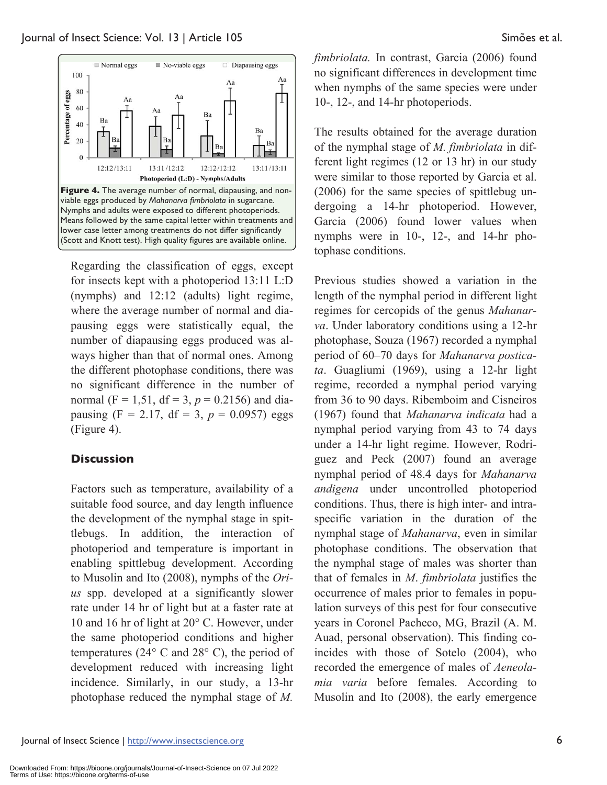

Regarding the classification of eggs, except for insects kept with a photoperiod 13:11 L:D (nymphs) and 12:12 (adults) light regime, where the average number of normal and diapausing eggs were statistically equal, the number of diapausing eggs produced was always higher than that of normal ones. Among the different photophase conditions, there was no significant difference in the number of normal ( $F = 1,51$ ,  $df = 3$ ,  $p = 0.2156$ ) and diapausing  $(F = 2.17, df = 3, p = 0.0957)$  eggs (Figure 4).

# **Discussion**

Factors such as temperature, availability of a suitable food source, and day length influence the development of the nymphal stage in spittlebugs. In addition, the interaction of photoperiod and temperature is important in enabling spittlebug development. According to Musolin and Ito (2008), nymphs of the *Orius* spp. developed at a significantly slower rate under 14 hr of light but at a faster rate at 10 and 16 hr of light at 20° C. However, under the same photoperiod conditions and higher temperatures (24° C and 28° C), the period of development reduced with increasing light incidence. Similarly, in our study, a 13-hr photophase reduced the nymphal stage of *M.* 

*fimbriolata.* In contrast, Garcia (2006) found no significant differences in development time when nymphs of the same species were under 10-, 12-, and 14-hr photoperiods.

The results obtained for the average duration of the nymphal stage of *M. fimbriolata* in different light regimes (12 or 13 hr) in our study were similar to those reported by Garcia et al. (2006) for the same species of spittlebug undergoing a 14-hr photoperiod. However, Garcia (2006) found lower values when nymphs were in 10-, 12-, and 14-hr photophase conditions.

Previous studies showed a variation in the length of the nymphal period in different light regimes for cercopids of the genus *Mahanarva*. Under laboratory conditions using a 12-hr photophase, Souza (1967) recorded a nymphal period of 60–70 days for *Mahanarva posticata*. Guagliumi (1969), using a 12-hr light regime, recorded a nymphal period varying from 36 to 90 days. Ribemboim and Cisneiros (1967) found that *Mahanarva indicata* had a nymphal period varying from 43 to 74 days under a 14-hr light regime. However, Rodriguez and Peck (2007) found an average nymphal period of 48.4 days for *Mahanarva andigena* under uncontrolled photoperiod conditions. Thus, there is high inter- and intraspecific variation in the duration of the nymphal stage of *Mahanarva*, even in similar photophase conditions. The observation that the nymphal stage of males was shorter than that of females in *M*. *fimbriolata* justifies the occurrence of males prior to females in population surveys of this pest for four consecutive years in Coronel Pacheco, MG, Brazil (A. M. Auad, personal observation). This finding coincides with those of Sotelo (2004), who recorded the emergence of males of *Aeneolamia varia* before females. According to Musolin and Ito (2008), the early emergence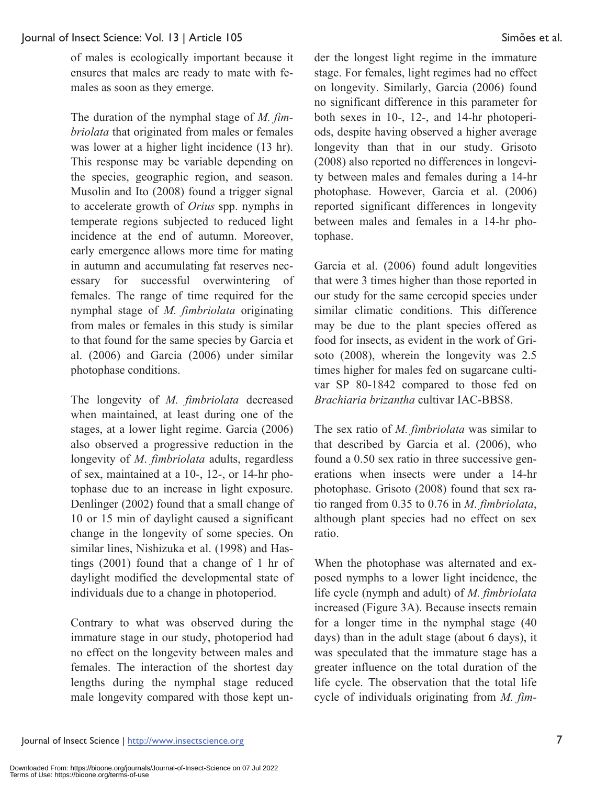of males is ecologically important because it ensures that males are ready to mate with females as soon as they emerge.

The duration of the nymphal stage of *M. fimbriolata* that originated from males or females was lower at a higher light incidence (13 hr). This response may be variable depending on the species, geographic region, and season. Musolin and Ito (2008) found a trigger signal to accelerate growth of *Orius* spp. nymphs in temperate regions subjected to reduced light incidence at the end of autumn. Moreover, early emergence allows more time for mating in autumn and accumulating fat reserves necessary for successful overwintering of females. The range of time required for the nymphal stage of *M. fimbriolata* originating from males or females in this study is similar to that found for the same species by Garcia et al. (2006) and Garcia (2006) under similar photophase conditions.

The longevity of *M. fimbriolata* decreased when maintained, at least during one of the stages, at a lower light regime. Garcia (2006) also observed a progressive reduction in the longevity of *M*. *fimbriolata* adults, regardless of sex, maintained at a 10-, 12-, or 14-hr photophase due to an increase in light exposure. Denlinger (2002) found that a small change of 10 or 15 min of daylight caused a significant change in the longevity of some species. On similar lines, Nishizuka et al. (1998) and Hastings (2001) found that a change of 1 hr of daylight modified the developmental state of individuals due to a change in photoperiod.

Contrary to what was observed during the immature stage in our study, photoperiod had no effect on the longevity between males and females. The interaction of the shortest day lengths during the nymphal stage reduced male longevity compared with those kept under the longest light regime in the immature stage. For females, light regimes had no effect on longevity. Similarly, Garcia (2006) found no significant difference in this parameter for both sexes in 10-, 12-, and 14-hr photoperiods, despite having observed a higher average longevity than that in our study. Grisoto (2008) also reported no differences in longevity between males and females during a 14-hr photophase. However, Garcia et al. (2006) reported significant differences in longevity between males and females in a 14-hr photophase.

Garcia et al. (2006) found adult longevities that were 3 times higher than those reported in our study for the same cercopid species under similar climatic conditions. This difference may be due to the plant species offered as food for insects, as evident in the work of Grisoto (2008), wherein the longevity was 2.5 times higher for males fed on sugarcane cultivar SP 80-1842 compared to those fed on *Brachiaria brizantha* cultivar IAC-BBS8.

The sex ratio of *M. fimbriolata* was similar to that described by Garcia et al. (2006), who found a 0.50 sex ratio in three successive generations when insects were under a 14-hr photophase. Grisoto (2008) found that sex ratio ranged from 0.35 to 0.76 in *M*. *fimbriolata*, although plant species had no effect on sex ratio.

When the photophase was alternated and exposed nymphs to a lower light incidence, the life cycle (nymph and adult) of *M. fimbriolata* increased (Figure 3A). Because insects remain for a longer time in the nymphal stage (40 days) than in the adult stage (about 6 days), it was speculated that the immature stage has a greater influence on the total duration of the life cycle. The observation that the total life cycle of individuals originating from *M. fim-*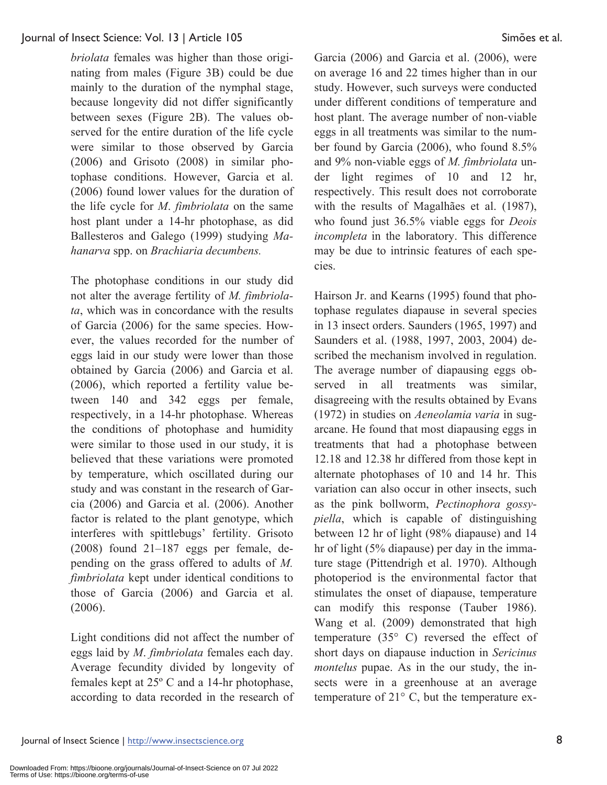*briolata* females was higher than those originating from males (Figure 3B) could be due mainly to the duration of the nymphal stage, because longevity did not differ significantly between sexes (Figure 2B). The values observed for the entire duration of the life cycle were similar to those observed by Garcia (2006) and Grisoto (2008) in similar photophase conditions. However, Garcia et al. (2006) found lower values for the duration of the life cycle for *M*. *fimbriolata* on the same host plant under a 14-hr photophase, as did Ballesteros and Galego (1999) studying *Mahanarva* spp. on *Brachiaria decumbens.* 

The photophase conditions in our study did not alter the average fertility of *M. fimbriolata*, which was in concordance with the results of Garcia (2006) for the same species. However, the values recorded for the number of eggs laid in our study were lower than those obtained by Garcia (2006) and Garcia et al. (2006), which reported a fertility value between 140 and 342 eggs per female, respectively, in a 14-hr photophase. Whereas the conditions of photophase and humidity were similar to those used in our study, it is believed that these variations were promoted by temperature, which oscillated during our study and was constant in the research of Garcia (2006) and Garcia et al. (2006). Another factor is related to the plant genotype, which interferes with spittlebugs' fertility. Grisoto (2008) found 21–187 eggs per female, depending on the grass offered to adults of *M. fimbriolata* kept under identical conditions to those of Garcia (2006) and Garcia et al. (2006).

Light conditions did not affect the number of eggs laid by *M*. *fimbriolata* females each day. Average fecundity divided by longevity of females kept at 25º C and a 14-hr photophase, according to data recorded in the research of Garcia (2006) and Garcia et al. (2006), were on average 16 and 22 times higher than in our study. However, such surveys were conducted under different conditions of temperature and host plant. The average number of non-viable eggs in all treatments was similar to the number found by Garcia (2006), who found 8.5% and 9% non-viable eggs of *M. fimbriolata* under light regimes of 10 and 12 hr, respectively. This result does not corroborate with the results of Magalhães et al. (1987), who found just 36.5% viable eggs for *Deois incompleta* in the laboratory. This difference may be due to intrinsic features of each species.

Hairson Jr. and Kearns (1995) found that photophase regulates diapause in several species in 13 insect orders. Saunders (1965, 1997) and Saunders et al. (1988, 1997, 2003, 2004) described the mechanism involved in regulation. The average number of diapausing eggs observed in all treatments was similar, disagreeing with the results obtained by Evans (1972) in studies on *Aeneolamia varia* in sugarcane. He found that most diapausing eggs in treatments that had a photophase between 12.18 and 12.38 hr differed from those kept in alternate photophases of 10 and 14 hr. This variation can also occur in other insects, such as the pink bollworm, *Pectinophora gossypiella*, which is capable of distinguishing between 12 hr of light (98% diapause) and 14 hr of light (5% diapause) per day in the immature stage (Pittendrigh et al. 1970). Although photoperiod is the environmental factor that stimulates the onset of diapause, temperature can modify this response (Tauber 1986). Wang et al. (2009) demonstrated that high temperature (35° C) reversed the effect of short days on diapause induction in *Sericinus montelus* pupae. As in the our study, the insects were in a greenhouse at an average temperature of 21° C, but the temperature ex-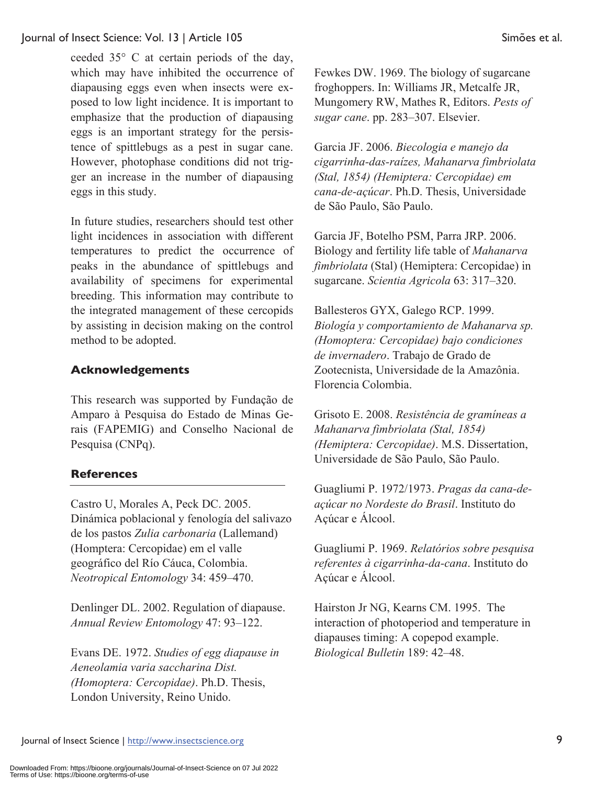ceeded 35° C at certain periods of the day, which may have inhibited the occurrence of diapausing eggs even when insects were exposed to low light incidence. It is important to emphasize that the production of diapausing eggs is an important strategy for the persistence of spittlebugs as a pest in sugar cane. However, photophase conditions did not trigger an increase in the number of diapausing eggs in this study.

In future studies, researchers should test other light incidences in association with different temperatures to predict the occurrence of peaks in the abundance of spittlebugs and availability of specimens for experimental breeding. This information may contribute to the integrated management of these cercopids by assisting in decision making on the control method to be adopted.

# **Acknowledgements**

This research was supported by Fundação de Amparo à Pesquisa do Estado de Minas Gerais (FAPEMIG) and Conselho Nacional de Pesquisa (CNPq).

# **References**

Castro U, Morales A, Peck DC. 2005. Dinámica poblacional y fenología del salivazo de los pastos *Zulia carbonaria* (Lallemand) (Homptera: Cercopidae) em el valle geográfico del Río Cáuca, Colombia. *Neotropical Entomology* 34: 459–470.

Denlinger DL. 2002. Regulation of diapause. *Annual Review Entomology* 47: 93–122.

Evans DE. 1972. *Studies of egg diapause in Aeneolamia varia saccharina Dist. (Homoptera: Cercopidae)*. Ph.D. Thesis, London University, Reino Unido.

Fewkes DW. 1969. The biology of sugarcane froghoppers. In: Williams JR, Metcalfe JR, Mungomery RW, Mathes R, Editors. *Pests of sugar cane*. pp. 283–307. Elsevier.

Garcia JF. 2006. *Biecologia e manejo da cigarrinha-das-raízes, Mahanarva fimbriolata (Stal, 1854) (Hemiptera: Cercopidae) em cana-de-açúcar*. Ph.D. Thesis, Universidade de São Paulo, São Paulo.

Garcia JF, Botelho PSM, Parra JRP. 2006. Biology and fertility life table of *Mahanarva fimbriolata* (Stal) (Hemiptera: Cercopidae) in sugarcane. *Scientia Agricola* 63: 317–320.

Ballesteros GYX, Galego RCP. 1999. *Biología y comportamiento de Mahanarva sp. (Homoptera: Cercopidae) bajo condiciones de invernadero*. Trabajo de Grado de Zootecnista, Universidade de la Amazônia. Florencia Colombia.

Grisoto E. 2008. *Resistência de gramíneas a Mahanarva fimbriolata (Stal, 1854) (Hemiptera: Cercopidae)*. M.S. Dissertation, Universidade de São Paulo, São Paulo.

Guagliumi P. 1972/1973. *Pragas da cana-deaçúcar no Nordeste do Brasil*. Instituto do Açúcar e Álcool.

Guagliumi P. 1969. *Relatórios sobre pesquisa referentes à cigarrinha-da-cana*. Instituto do Açúcar e Álcool.

Hairston Jr NG, Kearns CM. 1995. The interaction of photoperiod and temperature in diapauses timing: A copepod example. *Biological Bulletin* 189: 42–48.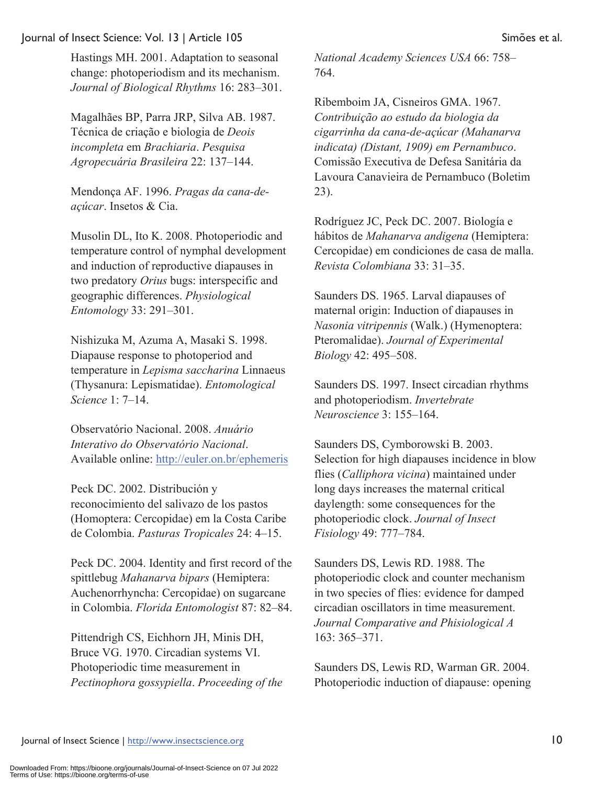Hastings MH. 2001. Adaptation to seasonal change: photoperiodism and its mechanism. *Journal of Biological Rhythms* 16: 283–301.

Magalhães BP, Parra JRP, Silva AB. 1987. Técnica de criação e biologia de *Deois incompleta* em *Brachiaria*. *Pesquisa Agropecuária Brasileira* 22: 137–144.

Mendonça AF. 1996. *Pragas da cana-deaçúcar*. Insetos & Cia.

Musolin DL, Ito K. 2008. Photoperiodic and temperature control of nymphal development and induction of reproductive diapauses in two predatory *Orius* bugs: interspecific and geographic differences. *Physiological Entomology* 33: 291–301.

Nishizuka M, Azuma A, Masaki S. 1998. Diapause response to photoperiod and temperature in *Lepisma saccharina* Linnaeus (Thysanura: Lepismatidae). *Entomological Science* 1: 7–14.

Observatório Nacional. 2008. *Anuário Interativo do Observatório Nacional*. Available online: http://euler.on.br/ephemeris

Peck DC. 2002. Distribución y reconocimiento del salivazo de los pastos (Homoptera: Cercopidae) em la Costa Caribe de Colombia. *Pasturas Tropicales* 24: 4–15.

Peck DC. 2004. Identity and first record of the spittlebug *Mahanarva bipars* (Hemiptera: Auchenorrhyncha: Cercopidae) on sugarcane in Colombia. *Florida Entomologist* 87: 82–84.

Pittendrigh CS, Eichhorn JH, Minis DH, Bruce VG. 1970. Circadian systems VI. Photoperiodic time measurement in *Pectinophora gossypiella*. *Proceeding of the*  *National Academy Sciences USA* 66: 758– 764.

Ribemboim JA, Cisneiros GMA. 1967. *Contribuição ao estudo da biologia da cigarrinha da cana-de-açúcar (Mahanarva indicata) (Distant, 1909) em Pernambuco*. Comissão Executiva de Defesa Sanitária da Lavoura Canavieira de Pernambuco (Boletim 23).

Rodríguez JC, Peck DC. 2007. Biología e hábitos de *Mahanarva andigena* (Hemiptera: Cercopidae) em condiciones de casa de malla. *Revista Colombiana* 33: 31–35.

Saunders DS. 1965. Larval diapauses of maternal origin: Induction of diapauses in *Nasonia vitripennis* (Walk.) (Hymenoptera: Pteromalidae). *Journal of Experimental Biology* 42: 495–508.

Saunders DS. 1997. Insect circadian rhythms and photoperiodism. *Invertebrate Neuroscience* 3: 155–164.

Saunders DS, Cymborowski B. 2003. Selection for high diapauses incidence in blow flies (*Calliphora vicina*) maintained under long days increases the maternal critical daylength: some consequences for the photoperiodic clock. *Journal of Insect Fisiology* 49: 777–784.

Saunders DS, Lewis RD. 1988. The photoperiodic clock and counter mechanism in two species of flies: evidence for damped circadian oscillators in time measurement. *Journal Comparative and Phisiological A* 163: 365–371.

Saunders DS, Lewis RD, Warman GR. 2004. Photoperiodic induction of diapause: opening